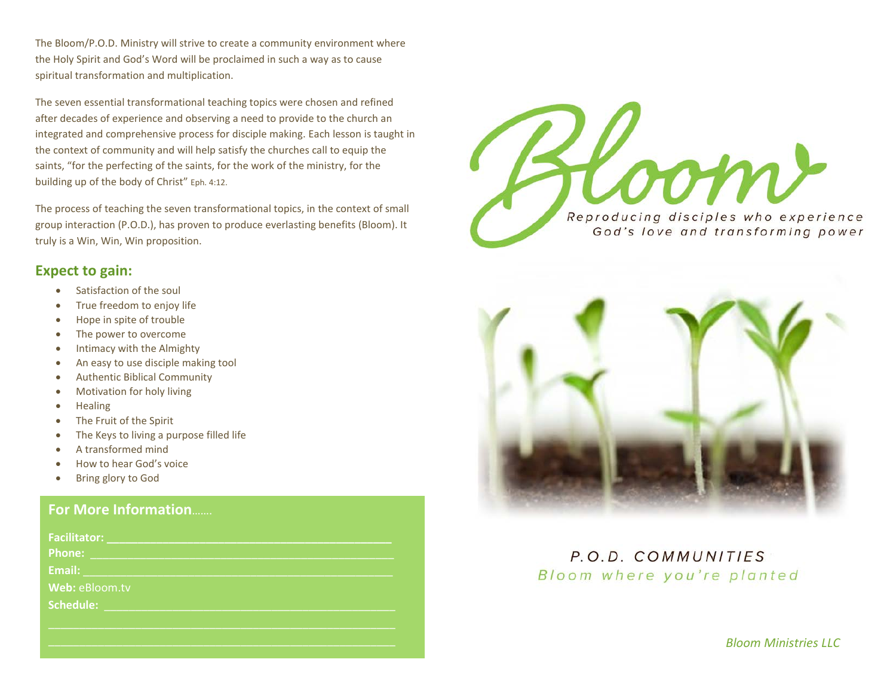The Bloom/P.O.D. Ministry will strive to create a community environment where the Holy Spirit and God's Word will be proclaimed in such a way as to cause spiritual transformation and multiplication.

The seven essential transformational teaching topics were chosen and refined after decades of experience and observing a need to provide to the church an integrated and comprehensive process for disciple making. Each lesson is taught in the context of community and will help satisfy the churches call to equip the saints, "for the perfecting of the saints, for the work of the ministry, for the building up of the body of Christ" Eph. 4:12.

The process of teaching the seven transformational topics, in the context of small group interaction (P.O.D.), has proven to produce everlasting benefits (Bloom). It truly is a Win, Win, Win proposition.

#### **Expect to gain:**

- Satisfaction of the soul
- True freedom to enjoy life
- Hope in spite of trouble
- The power to overcome
- Intimacy with the Almighty
- An easy to use disciple making tool
- Authentic Biblical Community
- Motivation for holy living
- Healing
- The Fruit of the Spirit
- The Keys to living a purpose filled life
- A transformed mind
- How to hear God's voice
- Bring glory to God

### **For More Information**…….

| <b>Facilitator:</b> |  |
|---------------------|--|
| <b>Phone:</b>       |  |
| Email:              |  |
| Web: eBloom.tv      |  |
| Schedule:           |  |
|                     |  |
|                     |  |





P.O.D. COMMUNITIES Bloom where you're planted

*Bloom Ministries LLC*